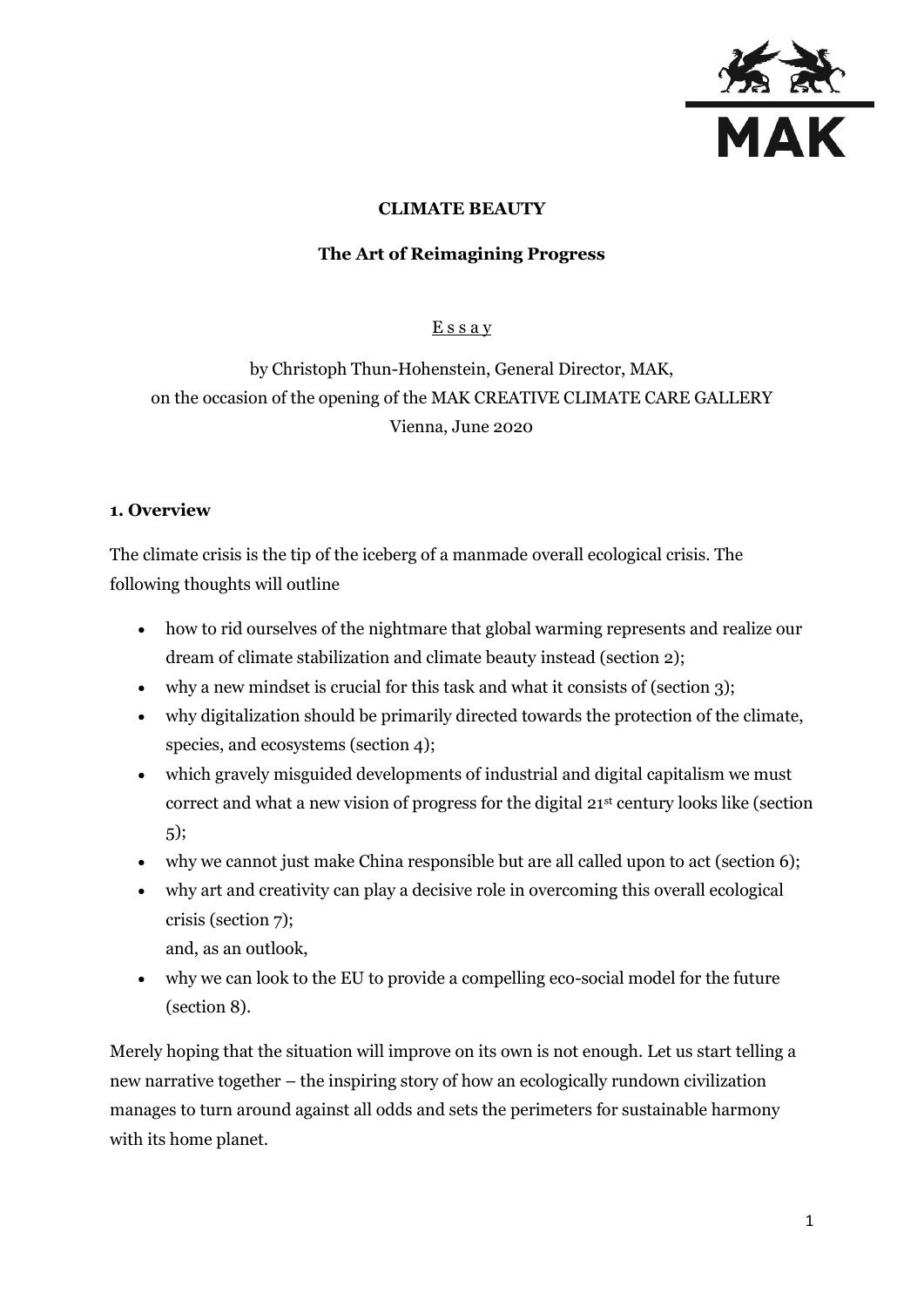

# **CLIMATE BEAUTY**

# **The Art of Reimagining Progress**

# **Essay**

by Christoph Thun-Hohenstein, General Director, MAK, on the occasion of the opening of the MAK CREATIVE CLIMATE CARE GALLERY Vienna, June 2020

# **1. Overview**

The climate crisis is the tip of the iceberg of a manmade overall ecological crisis. The following thoughts will outline

- how to rid ourselves of the nightmare that global warming represents and realize our dream of climate stabilization and climate beauty instead (section 2);
- why a new mindset is crucial for this task and what it consists of (section 3);
- why digitalization should be primarily directed towards the protection of the climate, species, and ecosystems (section 4);
- which gravely misguided developments of industrial and digital capitalism we must correct and what a new vision of progress for the digital 21st century looks like (section 5);
- why we cannot just make China responsible but are all called upon to act (section 6);
- why art and creativity can play a decisive role in overcoming this overall ecological crisis (section 7);

and, as an outlook,

 why we can look to the EU to provide a compelling eco-social model for the future (section 8).

Merely hoping that the situation will improve on its own is not enough. Let us start telling a new narrative together – the inspiring story of how an ecologically rundown civilization manages to turn around against all odds and sets the perimeters for sustainable harmony with its home planet.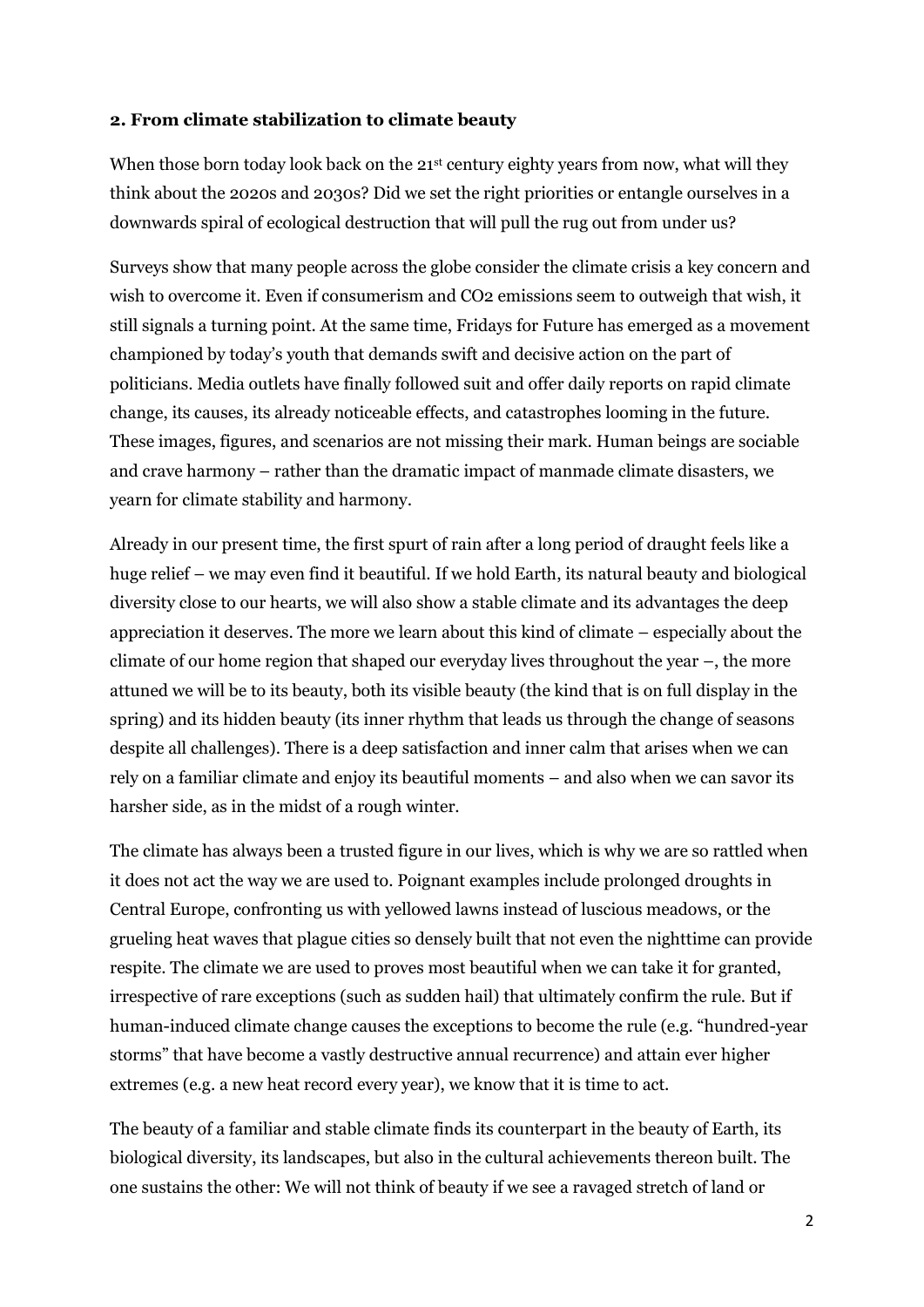### **2. From climate stabilization to climate beauty**

When those born today look back on the 21<sup>st</sup> century eighty years from now, what will they think about the 2020s and 2030s? Did we set the right priorities or entangle ourselves in a downwards spiral of ecological destruction that will pull the rug out from under us?

Surveys show that many people across the globe consider the climate crisis a key concern and wish to overcome it. Even if consumerism and CO2 emissions seem to outweigh that wish, it still signals a turning point. At the same time, Fridays for Future has emerged as a movement championed by today's youth that demands swift and decisive action on the part of politicians. Media outlets have finally followed suit and offer daily reports on rapid climate change, its causes, its already noticeable effects, and catastrophes looming in the future. These images, figures, and scenarios are not missing their mark. Human beings are sociable and crave harmony – rather than the dramatic impact of manmade climate disasters, we yearn for climate stability and harmony.

Already in our present time, the first spurt of rain after a long period of draught feels like a huge relief – we may even find it beautiful. If we hold Earth, its natural beauty and biological diversity close to our hearts, we will also show a stable climate and its advantages the deep appreciation it deserves. The more we learn about this kind of climate – especially about the climate of our home region that shaped our everyday lives throughout the year –, the more attuned we will be to its beauty, both its visible beauty (the kind that is on full display in the spring) and its hidden beauty (its inner rhythm that leads us through the change of seasons despite all challenges). There is a deep satisfaction and inner calm that arises when we can rely on a familiar climate and enjoy its beautiful moments – and also when we can savor its harsher side, as in the midst of a rough winter.

The climate has always been a trusted figure in our lives, which is why we are so rattled when it does not act the way we are used to. Poignant examples include prolonged droughts in Central Europe, confronting us with yellowed lawns instead of luscious meadows, or the grueling heat waves that plague cities so densely built that not even the nighttime can provide respite. The climate we are used to proves most beautiful when we can take it for granted, irrespective of rare exceptions (such as sudden hail) that ultimately confirm the rule. But if human-induced climate change causes the exceptions to become the rule (e.g. "hundred-year storms" that have become a vastly destructive annual recurrence) and attain ever higher extremes (e.g. a new heat record every year), we know that it is time to act.

The beauty of a familiar and stable climate finds its counterpart in the beauty of Earth, its biological diversity, its landscapes, but also in the cultural achievements thereon built. The one sustains the other: We will not think of beauty if we see a ravaged stretch of land or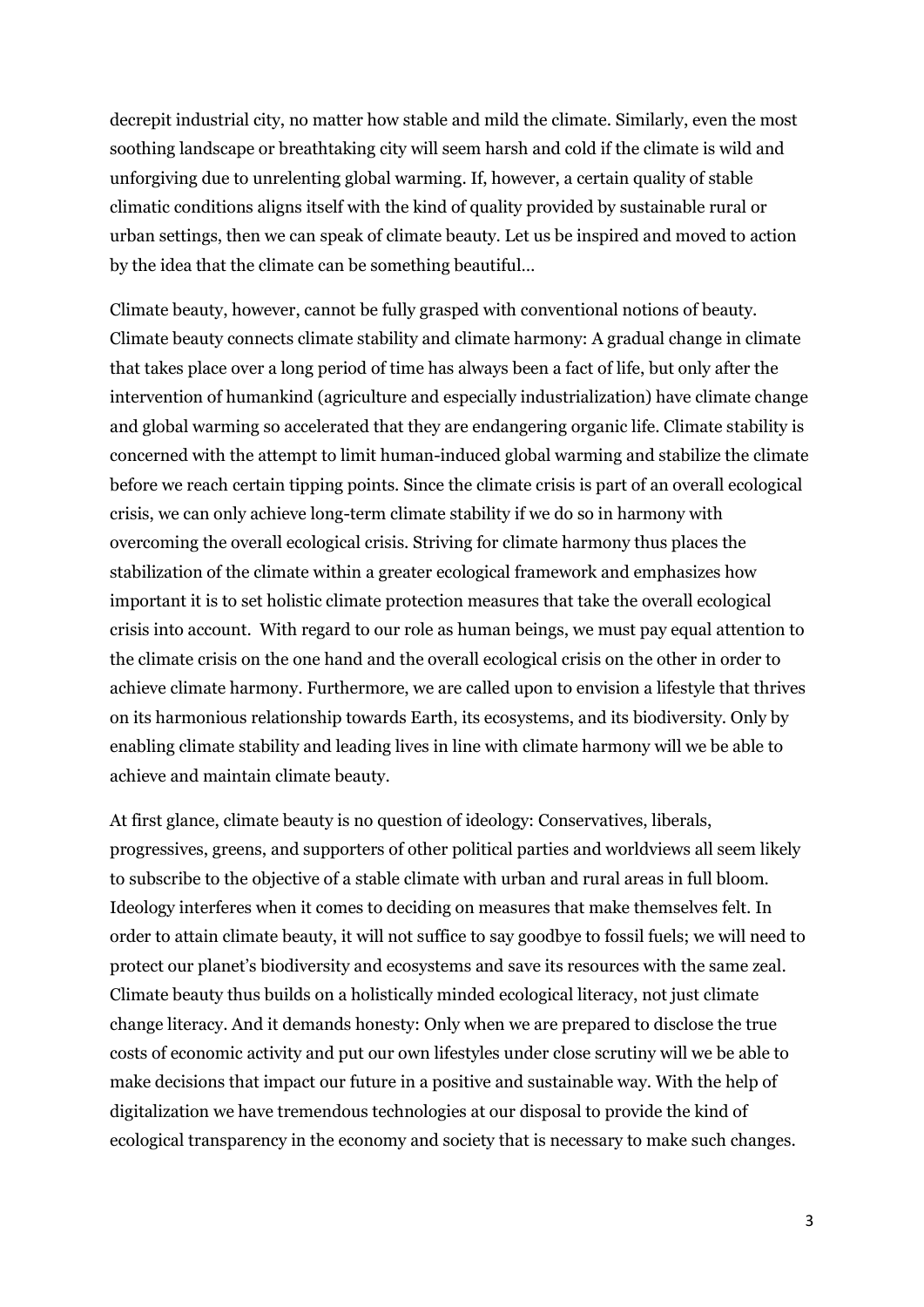decrepit industrial city, no matter how stable and mild the climate. Similarly, even the most soothing landscape or breathtaking city will seem harsh and cold if the climate is wild and unforgiving due to unrelenting global warming. If, however, a certain quality of stable climatic conditions aligns itself with the kind of quality provided by sustainable rural or urban settings, then we can speak of climate beauty. Let us be inspired and moved to action by the idea that the climate can be something beautiful…

Climate beauty, however, cannot be fully grasped with conventional notions of beauty. Climate beauty connects climate stability and climate harmony: A gradual change in climate that takes place over a long period of time has always been a fact of life, but only after the intervention of humankind (agriculture and especially industrialization) have climate change and global warming so accelerated that they are endangering organic life. Climate stability is concerned with the attempt to limit human-induced global warming and stabilize the climate before we reach certain tipping points. Since the climate crisis is part of an overall ecological crisis, we can only achieve long-term climate stability if we do so in harmony with overcoming the overall ecological crisis. Striving for climate harmony thus places the stabilization of the climate within a greater ecological framework and emphasizes how important it is to set holistic climate protection measures that take the overall ecological crisis into account. With regard to our role as human beings, we must pay equal attention to the climate crisis on the one hand and the overall ecological crisis on the other in order to achieve climate harmony. Furthermore, we are called upon to envision a lifestyle that thrives on its harmonious relationship towards Earth, its ecosystems, and its biodiversity. Only by enabling climate stability and leading lives in line with climate harmony will we be able to achieve and maintain climate beauty.

At first glance, climate beauty is no question of ideology: Conservatives, liberals, progressives, greens, and supporters of other political parties and worldviews all seem likely to subscribe to the objective of a stable climate with urban and rural areas in full bloom. Ideology interferes when it comes to deciding on measures that make themselves felt. In order to attain climate beauty, it will not suffice to say goodbye to fossil fuels; we will need to protect our planet's biodiversity and ecosystems and save its resources with the same zeal. Climate beauty thus builds on a holistically minded ecological literacy, not just climate change literacy. And it demands honesty: Only when we are prepared to disclose the true costs of economic activity and put our own lifestyles under close scrutiny will we be able to make decisions that impact our future in a positive and sustainable way. With the help of digitalization we have tremendous technologies at our disposal to provide the kind of ecological transparency in the economy and society that is necessary to make such changes.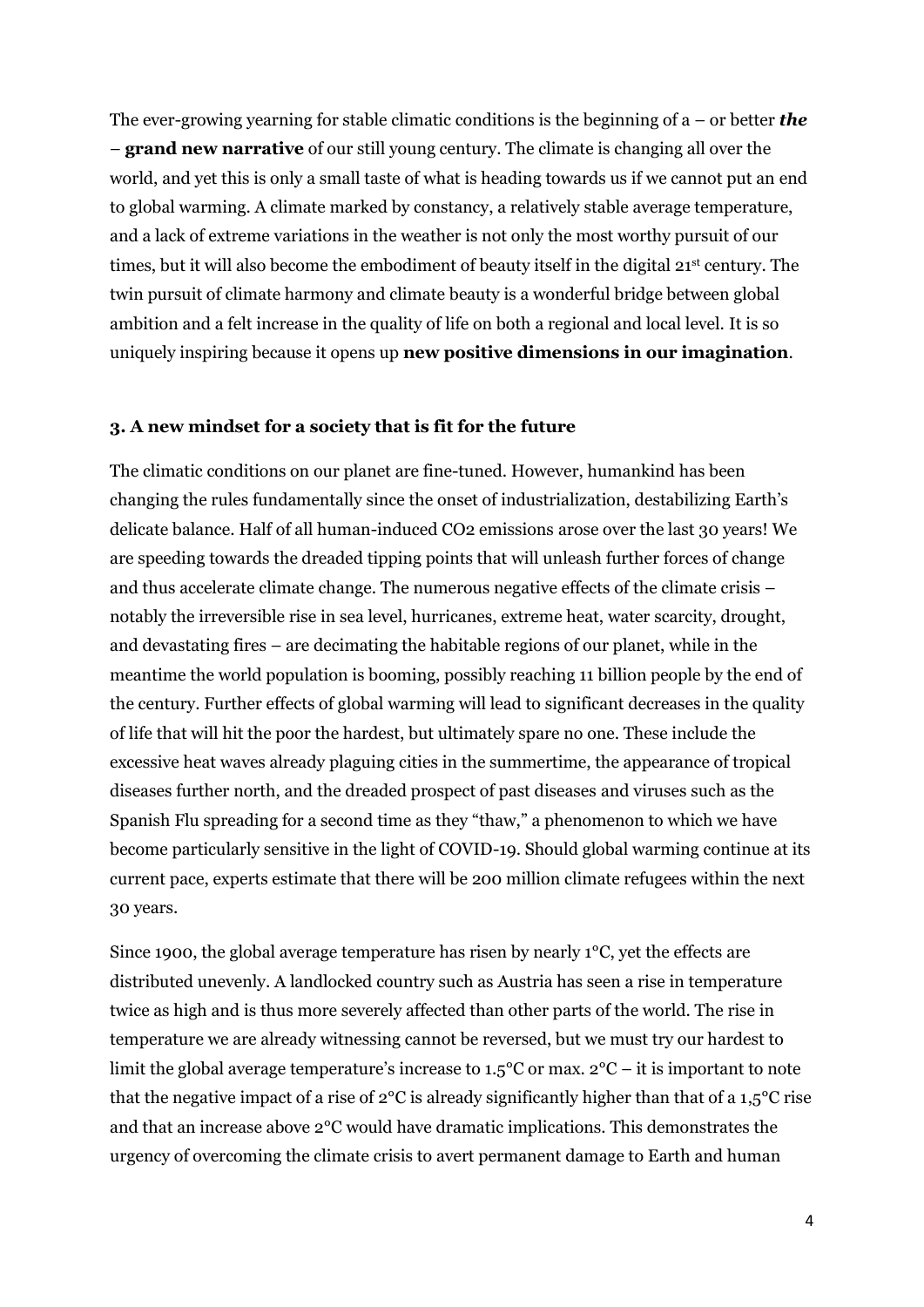The ever-growing yearning for stable climatic conditions is the beginning of a – or better *the*  – **grand new narrative** of our still young century. The climate is changing all over the world, and yet this is only a small taste of what is heading towards us if we cannot put an end to global warming. A climate marked by constancy, a relatively stable average temperature, and a lack of extreme variations in the weather is not only the most worthy pursuit of our times, but it will also become the embodiment of beauty itself in the digital 21st century. The twin pursuit of climate harmony and climate beauty is a wonderful bridge between global ambition and a felt increase in the quality of life on both a regional and local level. It is so uniquely inspiring because it opens up **new positive dimensions in our imagination**.

#### **3. A new mindset for a society that is fit for the future**

The climatic conditions on our planet are fine-tuned. However, humankind has been changing the rules fundamentally since the onset of industrialization, destabilizing Earth's delicate balance. Half of all human-induced CO2 emissions arose over the last 30 years! We are speeding towards the dreaded tipping points that will unleash further forces of change and thus accelerate climate change. The numerous negative effects of the climate crisis – notably the irreversible rise in sea level, hurricanes, extreme heat, water scarcity, drought, and devastating fires – are decimating the habitable regions of our planet, while in the meantime the world population is booming, possibly reaching 11 billion people by the end of the century. Further effects of global warming will lead to significant decreases in the quality of life that will hit the poor the hardest, but ultimately spare no one. These include the excessive heat waves already plaguing cities in the summertime, the appearance of tropical diseases further north, and the dreaded prospect of past diseases and viruses such as the Spanish Flu spreading for a second time as they "thaw," a phenomenon to which we have become particularly sensitive in the light of COVID-19. Should global warming continue at its current pace, experts estimate that there will be 200 million climate refugees within the next 30 years.

Since 1900, the global average temperature has risen by nearly 1°C, yet the effects are distributed unevenly. A landlocked country such as Austria has seen a rise in temperature twice as high and is thus more severely affected than other parts of the world. The rise in temperature we are already witnessing cannot be reversed, but we must try our hardest to limit the global average temperature's increase to 1.5°C or max. 2°C – it is important to note that the negative impact of a rise of 2°C is already significantly higher than that of a 1,5°C rise and that an increase above 2°C would have dramatic implications. This demonstrates the urgency of overcoming the climate crisis to avert permanent damage to Earth and human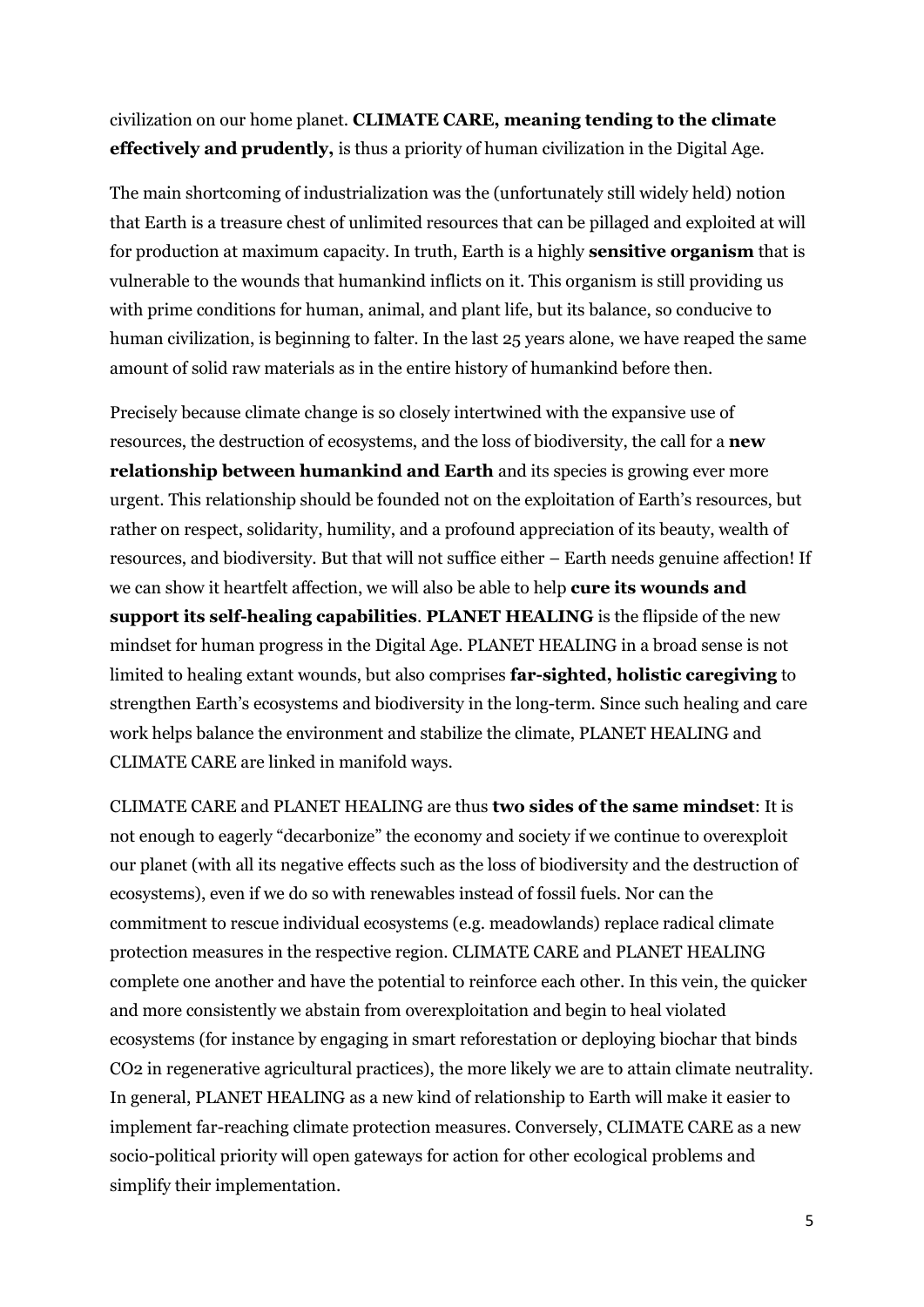civilization on our home planet. **CLIMATE CARE, meaning tending to the climate effectively and prudently,** is thus a priority of human civilization in the Digital Age.

The main shortcoming of industrialization was the (unfortunately still widely held) notion that Earth is a treasure chest of unlimited resources that can be pillaged and exploited at will for production at maximum capacity. In truth, Earth is a highly **sensitive organism** that is vulnerable to the wounds that humankind inflicts on it. This organism is still providing us with prime conditions for human, animal, and plant life, but its balance, so conducive to human civilization, is beginning to falter. In the last 25 years alone, we have reaped the same amount of solid raw materials as in the entire history of humankind before then.

Precisely because climate change is so closely intertwined with the expansive use of resources, the destruction of ecosystems, and the loss of biodiversity, the call for a **new relationship between humankind and Earth** and its species is growing ever more urgent. This relationship should be founded not on the exploitation of Earth's resources, but rather on respect, solidarity, humility, and a profound appreciation of its beauty, wealth of resources, and biodiversity. But that will not suffice either – Earth needs genuine affection! If we can show it heartfelt affection, we will also be able to help **cure its wounds and support its self-healing capabilities**. **PLANET HEALING** is the flipside of the new mindset for human progress in the Digital Age. PLANET HEALING in a broad sense is not limited to healing extant wounds, but also comprises **far-sighted, holistic caregiving** to strengthen Earth's ecosystems and biodiversity in the long-term. Since such healing and care work helps balance the environment and stabilize the climate, PLANET HEALING and CLIMATE CARE are linked in manifold ways.

CLIMATE CARE and PLANET HEALING are thus **two sides of the same mindset**: It is not enough to eagerly "decarbonize" the economy and society if we continue to overexploit our planet (with all its negative effects such as the loss of biodiversity and the destruction of ecosystems), even if we do so with renewables instead of fossil fuels. Nor can the commitment to rescue individual ecosystems (e.g. meadowlands) replace radical climate protection measures in the respective region. CLIMATE CARE and PLANET HEALING complete one another and have the potential to reinforce each other. In this vein, the quicker and more consistently we abstain from overexploitation and begin to heal violated ecosystems (for instance by engaging in smart reforestation or deploying biochar that binds CO2 in regenerative agricultural practices), the more likely we are to attain climate neutrality. In general, PLANET HEALING as a new kind of relationship to Earth will make it easier to implement far-reaching climate protection measures. Conversely, CLIMATE CARE as a new socio-political priority will open gateways for action for other ecological problems and simplify their implementation.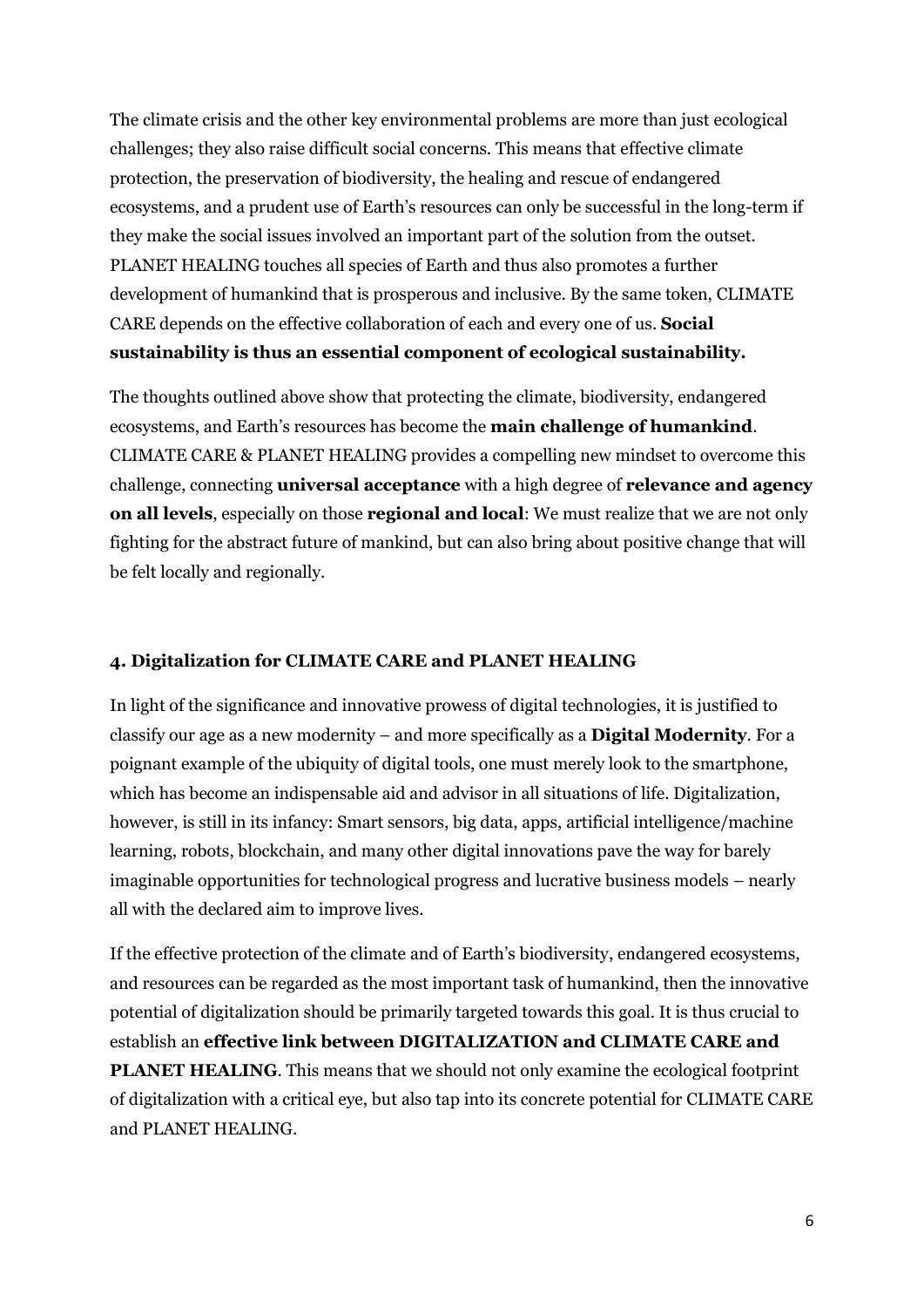The climate crisis and the other key environmental problems are more than just ecological challenges; they also raise difficult social concerns. This means that effective climate protection, the preservation of biodiversity, the healing and rescue of endangered ecosystems, and a prudent use of Earth's resources can only be successful in the long-term if they make the social issues involved an important part of the solution from the outset. PLANET HEALING touches all species of Earth and thus also promotes a further development of humankind that is prosperous and inclusive. By the same token, CLIMATE CARE depends on the effective collaboration of each and every one of us. **Social sustainability is thus an essential component of ecological sustainability.**

The thoughts outlined above show that protecting the climate, biodiversity, endangered ecosystems, and Earth's resources has become the **main challenge of humankind**. CLIMATE CARE & PLANET HEALING provides a compelling new mindset to overcome this challenge, connecting **universal acceptance** with a high degree of **relevance and agency on all levels**, especially on those **regional and local**: We must realize that we are not only fighting for the abstract future of mankind, but can also bring about positive change that will be felt locally and regionally.

### **4. Digitalization for CLIMATE CARE and PLANET HEALING**

In light of the significance and innovative prowess of digital technologies, it is justified to classify our age as a new modernity – and more specifically as a **Digital Modernity**. For a poignant example of the ubiquity of digital tools, one must merely look to the smartphone, which has become an indispensable aid and advisor in all situations of life. Digitalization, however, is still in its infancy: Smart sensors, big data, apps, artificial intelligence/machine learning, robots, blockchain, and many other digital innovations pave the way for barely imaginable opportunities for technological progress and lucrative business models – nearly all with the declared aim to improve lives.

If the effective protection of the climate and of Earth's biodiversity, endangered ecosystems, and resources can be regarded as the most important task of humankind, then the innovative potential of digitalization should be primarily targeted towards this goal. It is thus crucial to establish an **effective link between DIGITALIZATION and CLIMATE CARE and PLANET HEALING**. This means that we should not only examine the ecological footprint of digitalization with a critical eye, but also tap into its concrete potential for CLIMATE CARE and PLANET HEALING.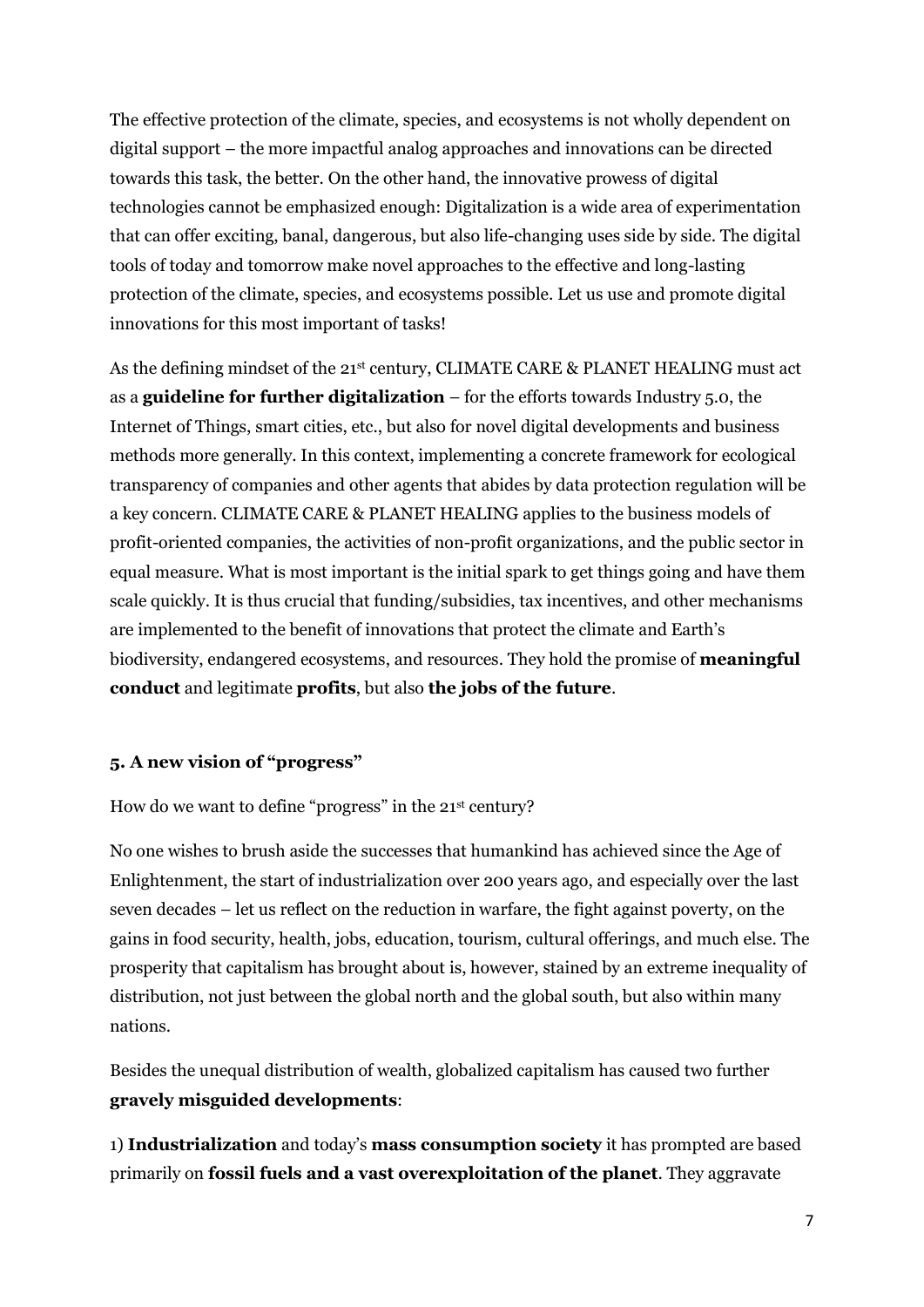The effective protection of the climate, species, and ecosystems is not wholly dependent on digital support – the more impactful analog approaches and innovations can be directed towards this task, the better. On the other hand, the innovative prowess of digital technologies cannot be emphasized enough: Digitalization is a wide area of experimentation that can offer exciting, banal, dangerous, but also life-changing uses side by side. The digital tools of today and tomorrow make novel approaches to the effective and long-lasting protection of the climate, species, and ecosystems possible. Let us use and promote digital innovations for this most important of tasks!

As the defining mindset of the 21<sup>st</sup> century, CLIMATE CARE & PLANET HEALING must act as a **guideline for further digitalization** – for the efforts towards Industry 5.0, the Internet of Things, smart cities, etc., but also for novel digital developments and business methods more generally. In this context, implementing a concrete framework for ecological transparency of companies and other agents that abides by data protection regulation will be a key concern. CLIMATE CARE & PLANET HEALING applies to the business models of profit-oriented companies, the activities of non-profit organizations, and the public sector in equal measure. What is most important is the initial spark to get things going and have them scale quickly. It is thus crucial that funding/subsidies, tax incentives, and other mechanisms are implemented to the benefit of innovations that protect the climate and Earth's biodiversity, endangered ecosystems, and resources. They hold the promise of **meaningful conduct** and legitimate **profits**, but also **the jobs of the future**.

### **5. A new vision of "progress"**

How do we want to define "progress" in the 21st century?

No one wishes to brush aside the successes that humankind has achieved since the Age of Enlightenment, the start of industrialization over 200 years ago, and especially over the last seven decades – let us reflect on the reduction in warfare, the fight against poverty, on the gains in food security, health, jobs, education, tourism, cultural offerings, and much else. The prosperity that capitalism has brought about is, however, stained by an extreme inequality of distribution, not just between the global north and the global south, but also within many nations.

Besides the unequal distribution of wealth, globalized capitalism has caused two further **gravely misguided developments**:

1) **Industrialization** and today's **mass consumption society** it has prompted are based primarily on **fossil fuels and a vast overexploitation of the planet**. They aggravate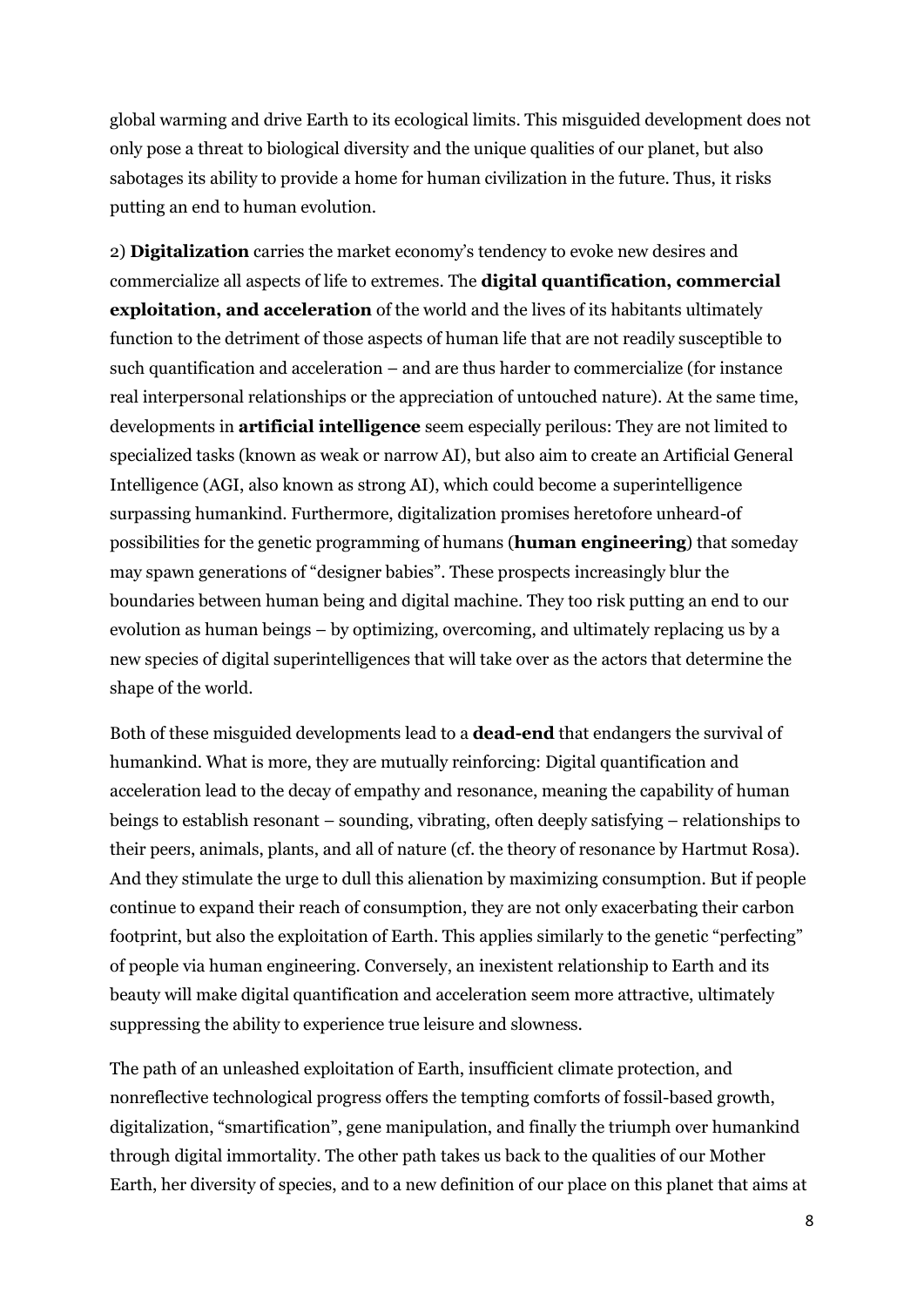global warming and drive Earth to its ecological limits. This misguided development does not only pose a threat to biological diversity and the unique qualities of our planet, but also sabotages its ability to provide a home for human civilization in the future. Thus, it risks putting an end to human evolution.

2) **Digitalization** carries the market economy's tendency to evoke new desires and commercialize all aspects of life to extremes. The **digital quantification, commercial exploitation, and acceleration** of the world and the lives of its habitants ultimately function to the detriment of those aspects of human life that are not readily susceptible to such quantification and acceleration – and are thus harder to commercialize (for instance real interpersonal relationships or the appreciation of untouched nature). At the same time, developments in **artificial intelligence** seem especially perilous: They are not limited to specialized tasks (known as weak or narrow AI), but also aim to create an Artificial General Intelligence (AGI, also known as strong AI), which could become a superintelligence surpassing humankind. Furthermore, digitalization promises heretofore unheard-of possibilities for the genetic programming of humans (**human engineering**) that someday may spawn generations of "designer babies". These prospects increasingly blur the boundaries between human being and digital machine. They too risk putting an end to our evolution as human beings – by optimizing, overcoming, and ultimately replacing us by a new species of digital superintelligences that will take over as the actors that determine the shape of the world.

Both of these misguided developments lead to a **dead-end** that endangers the survival of humankind. What is more, they are mutually reinforcing: Digital quantification and acceleration lead to the decay of empathy and resonance, meaning the capability of human beings to establish resonant – sounding, vibrating, often deeply satisfying – relationships to their peers, animals, plants, and all of nature (cf. the theory of resonance by Hartmut Rosa). And they stimulate the urge to dull this alienation by maximizing consumption. But if people continue to expand their reach of consumption, they are not only exacerbating their carbon footprint, but also the exploitation of Earth. This applies similarly to the genetic "perfecting" of people via human engineering. Conversely, an inexistent relationship to Earth and its beauty will make digital quantification and acceleration seem more attractive, ultimately suppressing the ability to experience true leisure and slowness.

The path of an unleashed exploitation of Earth, insufficient climate protection, and nonreflective technological progress offers the tempting comforts of fossil-based growth, digitalization, "smartification", gene manipulation, and finally the triumph over humankind through digital immortality. The other path takes us back to the qualities of our Mother Earth, her diversity of species, and to a new definition of our place on this planet that aims at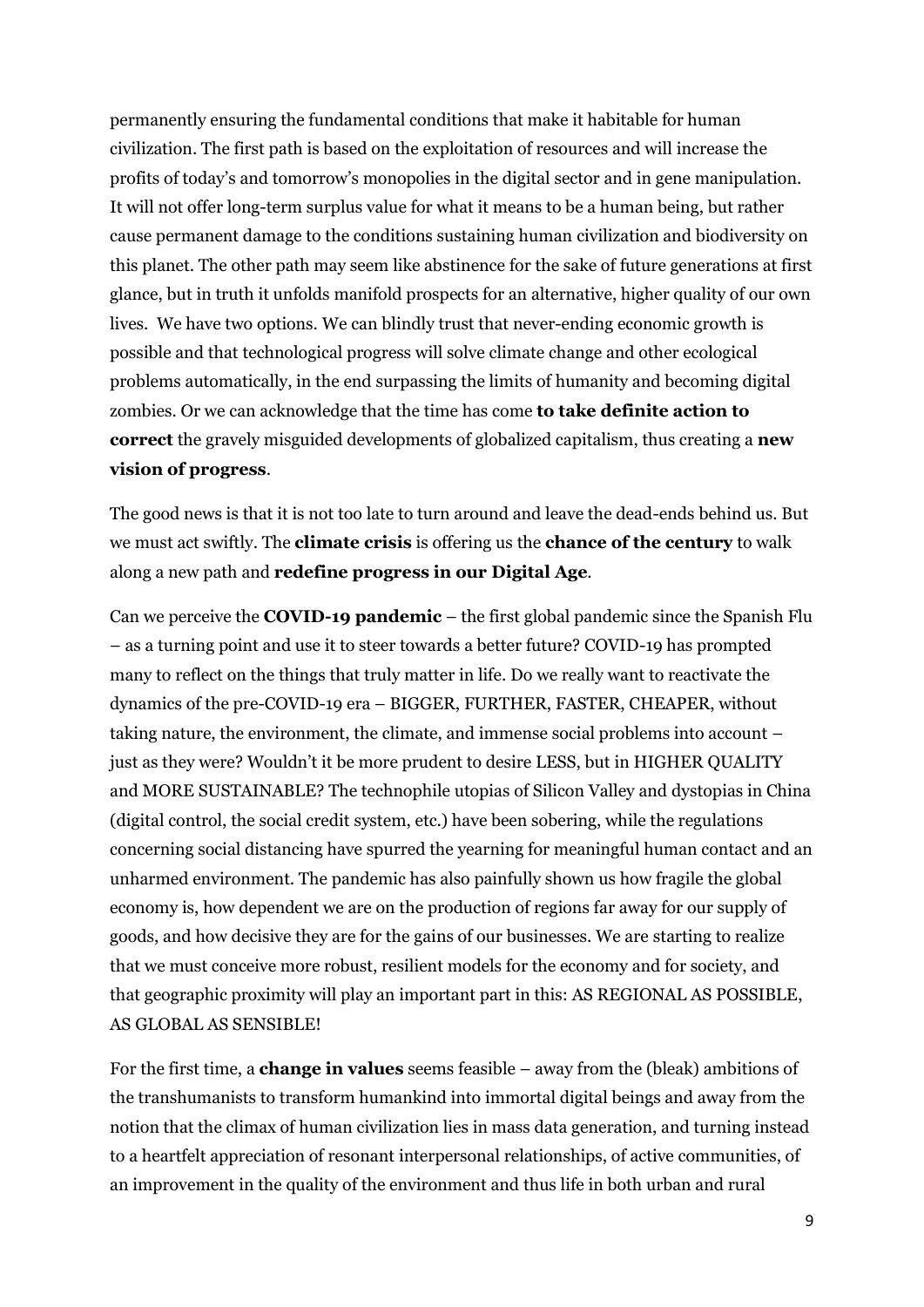permanently ensuring the fundamental conditions that make it habitable for human civilization. The first path is based on the exploitation of resources and will increase the profits of today's and tomorrow's monopolies in the digital sector and in gene manipulation. It will not offer long-term surplus value for what it means to be a human being, but rather cause permanent damage to the conditions sustaining human civilization and biodiversity on this planet. The other path may seem like abstinence for the sake of future generations at first glance, but in truth it unfolds manifold prospects for an alternative, higher quality of our own lives. We have two options. We can blindly trust that never-ending economic growth is possible and that technological progress will solve climate change and other ecological problems automatically, in the end surpassing the limits of humanity and becoming digital zombies. Or we can acknowledge that the time has come **to take definite action to correct** the gravely misguided developments of globalized capitalism, thus creating a **new vision of progress**.

The good news is that it is not too late to turn around and leave the dead-ends behind us. But we must act swiftly. The **climate crisis** is offering us the **chance of the century** to walk along a new path and **redefine progress in our Digital Age**.

Can we perceive the **COVID-19 pandemic** – the first global pandemic since the Spanish Flu – as a turning point and use it to steer towards a better future? COVID-19 has prompted many to reflect on the things that truly matter in life. Do we really want to reactivate the dynamics of the pre-COVID-19 era – BIGGER, FURTHER, FASTER, CHEAPER, without taking nature, the environment, the climate, and immense social problems into account – just as they were? Wouldn't it be more prudent to desire LESS, but in HIGHER QUALITY and MORE SUSTAINABLE? The technophile utopias of Silicon Valley and dystopias in China (digital control, the social credit system, etc.) have been sobering, while the regulations concerning social distancing have spurred the yearning for meaningful human contact and an unharmed environment. The pandemic has also painfully shown us how fragile the global economy is, how dependent we are on the production of regions far away for our supply of goods, and how decisive they are for the gains of our businesses. We are starting to realize that we must conceive more robust, resilient models for the economy and for society, and that geographic proximity will play an important part in this: AS REGIONAL AS POSSIBLE, AS GLOBAL AS SENSIBLE!

For the first time, a **change in values** seems feasible – away from the (bleak) ambitions of the transhumanists to transform humankind into immortal digital beings and away from the notion that the climax of human civilization lies in mass data generation, and turning instead to a heartfelt appreciation of resonant interpersonal relationships, of active communities, of an improvement in the quality of the environment and thus life in both urban and rural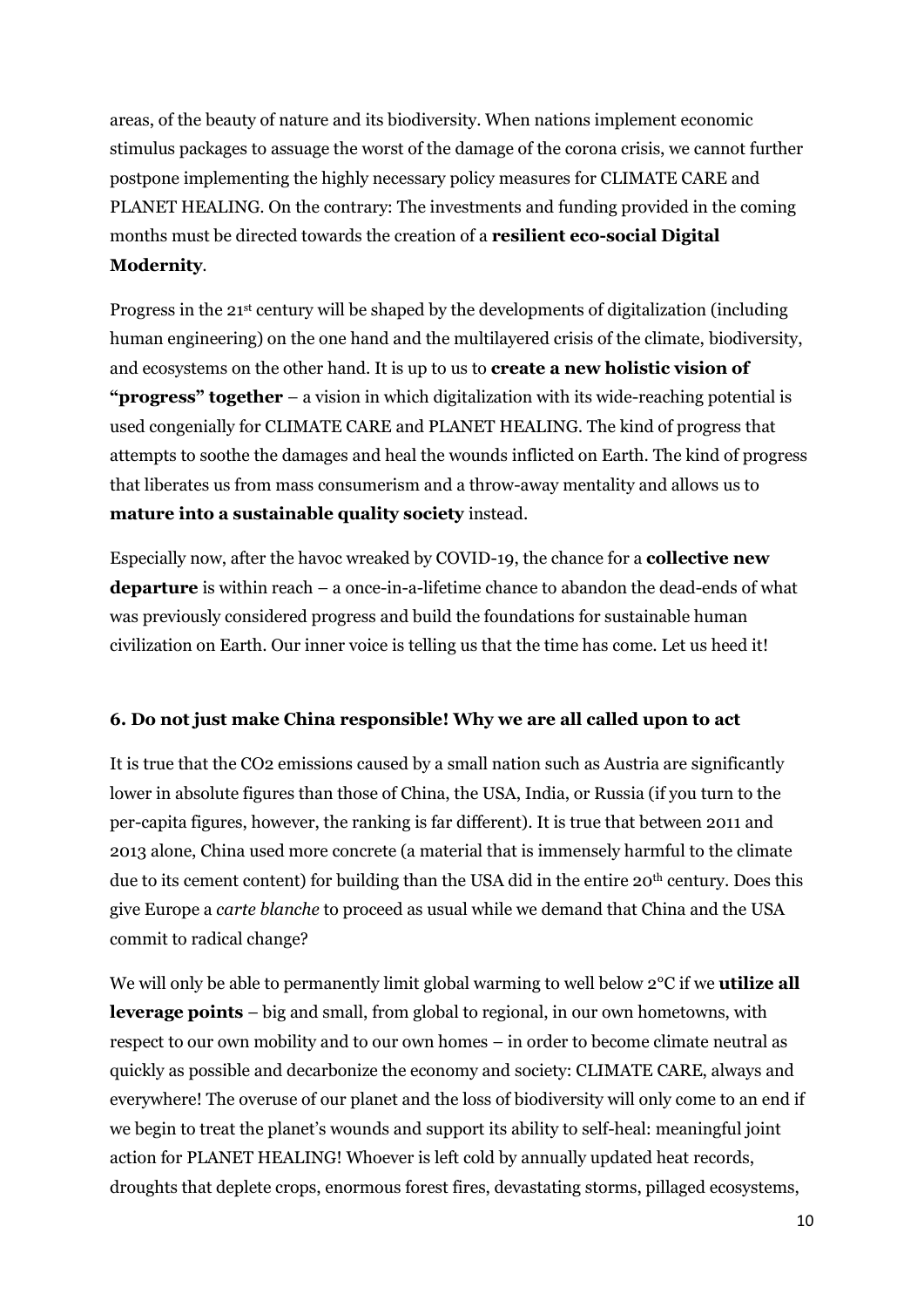areas, of the beauty of nature and its biodiversity. When nations implement economic stimulus packages to assuage the worst of the damage of the corona crisis, we cannot further postpone implementing the highly necessary policy measures for CLIMATE CARE and PLANET HEALING. On the contrary: The investments and funding provided in the coming months must be directed towards the creation of a **resilient eco-social Digital Modernity**.

Progress in the 21st century will be shaped by the developments of digitalization (including human engineering) on the one hand and the multilayered crisis of the climate, biodiversity, and ecosystems on the other hand. It is up to us to **create a new holistic vision of "progress" together** – a vision in which digitalization with its wide-reaching potential is used congenially for CLIMATE CARE and PLANET HEALING. The kind of progress that attempts to soothe the damages and heal the wounds inflicted on Earth. The kind of progress that liberates us from mass consumerism and a throw-away mentality and allows us to **mature into a sustainable quality society** instead.

Especially now, after the havoc wreaked by COVID-19, the chance for a **collective new departure** is within reach – a once-in-a-lifetime chance to abandon the dead-ends of what was previously considered progress and build the foundations for sustainable human civilization on Earth. Our inner voice is telling us that the time has come. Let us heed it!

# **6. Do not just make China responsible! Why we are all called upon to act**

It is true that the CO2 emissions caused by a small nation such as Austria are significantly lower in absolute figures than those of China, the USA, India, or Russia (if you turn to the per-capita figures, however, the ranking is far different). It is true that between 2011 and 2013 alone, China used more concrete (a material that is immensely harmful to the climate due to its cement content) for building than the USA did in the entire 20<sup>th</sup> century. Does this give Europe a *carte blanche* to proceed as usual while we demand that China and the USA commit to radical change?

We will only be able to permanently limit global warming to well below 2°C if we **utilize all leverage points** – big and small, from global to regional, in our own hometowns, with respect to our own mobility and to our own homes – in order to become climate neutral as quickly as possible and decarbonize the economy and society: CLIMATE CARE, always and everywhere! The overuse of our planet and the loss of biodiversity will only come to an end if we begin to treat the planet's wounds and support its ability to self-heal: meaningful joint action for PLANET HEALING! Whoever is left cold by annually updated heat records, droughts that deplete crops, enormous forest fires, devastating storms, pillaged ecosystems,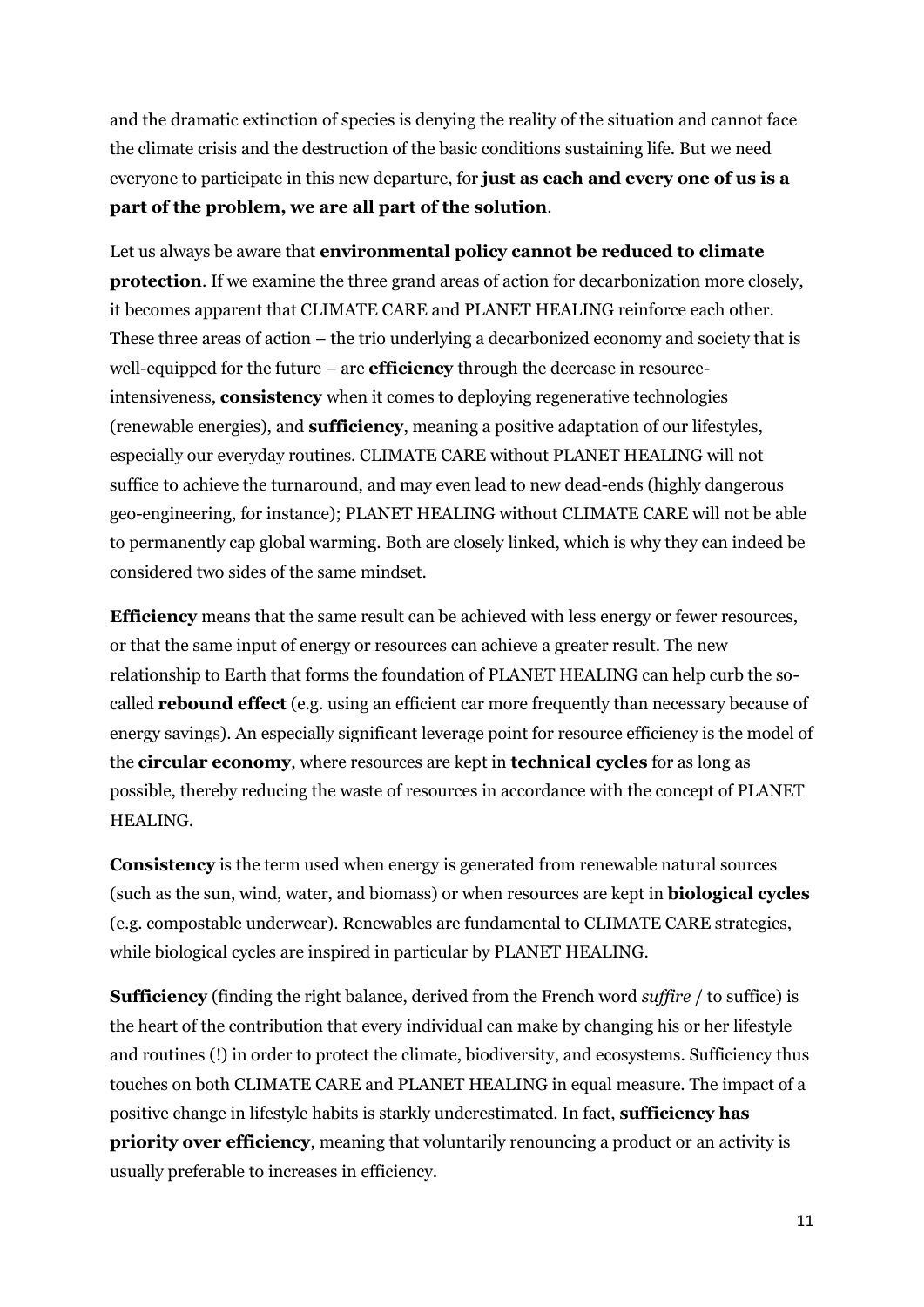and the dramatic extinction of species is denying the reality of the situation and cannot face the climate crisis and the destruction of the basic conditions sustaining life. But we need everyone to participate in this new departure, for **just as each and every one of us is a part of the problem, we are all part of the solution**.

Let us always be aware that **environmental policy cannot be reduced to climate protection**. If we examine the three grand areas of action for decarbonization more closely, it becomes apparent that CLIMATE CARE and PLANET HEALING reinforce each other. These three areas of action – the trio underlying a decarbonized economy and society that is well-equipped for the future – are **efficiency** through the decrease in resourceintensiveness, **consistency** when it comes to deploying regenerative technologies (renewable energies), and **sufficiency**, meaning a positive adaptation of our lifestyles, especially our everyday routines. CLIMATE CARE without PLANET HEALING will not suffice to achieve the turnaround, and may even lead to new dead-ends (highly dangerous geo-engineering, for instance); PLANET HEALING without CLIMATE CARE will not be able to permanently cap global warming. Both are closely linked, which is why they can indeed be considered two sides of the same mindset.

**Efficiency** means that the same result can be achieved with less energy or fewer resources, or that the same input of energy or resources can achieve a greater result. The new relationship to Earth that forms the foundation of PLANET HEALING can help curb the socalled **rebound effect** (e.g. using an efficient car more frequently than necessary because of energy savings). An especially significant leverage point for resource efficiency is the model of the **circular economy**, where resources are kept in **technical cycles** for as long as possible, thereby reducing the waste of resources in accordance with the concept of PLANET HEALING.

**Consistency** is the term used when energy is generated from renewable natural sources (such as the sun, wind, water, and biomass) or when resources are kept in **biological cycles** (e.g. compostable underwear). Renewables are fundamental to CLIMATE CARE strategies, while biological cycles are inspired in particular by PLANET HEALING.

**Sufficiency** (finding the right balance, derived from the French word *suffire* / to suffice) is the heart of the contribution that every individual can make by changing his or her lifestyle and routines (!) in order to protect the climate, biodiversity, and ecosystems. Sufficiency thus touches on both CLIMATE CARE and PLANET HEALING in equal measure. The impact of a positive change in lifestyle habits is starkly underestimated. In fact, **sufficiency has priority over efficiency**, meaning that voluntarily renouncing a product or an activity is usually preferable to increases in efficiency.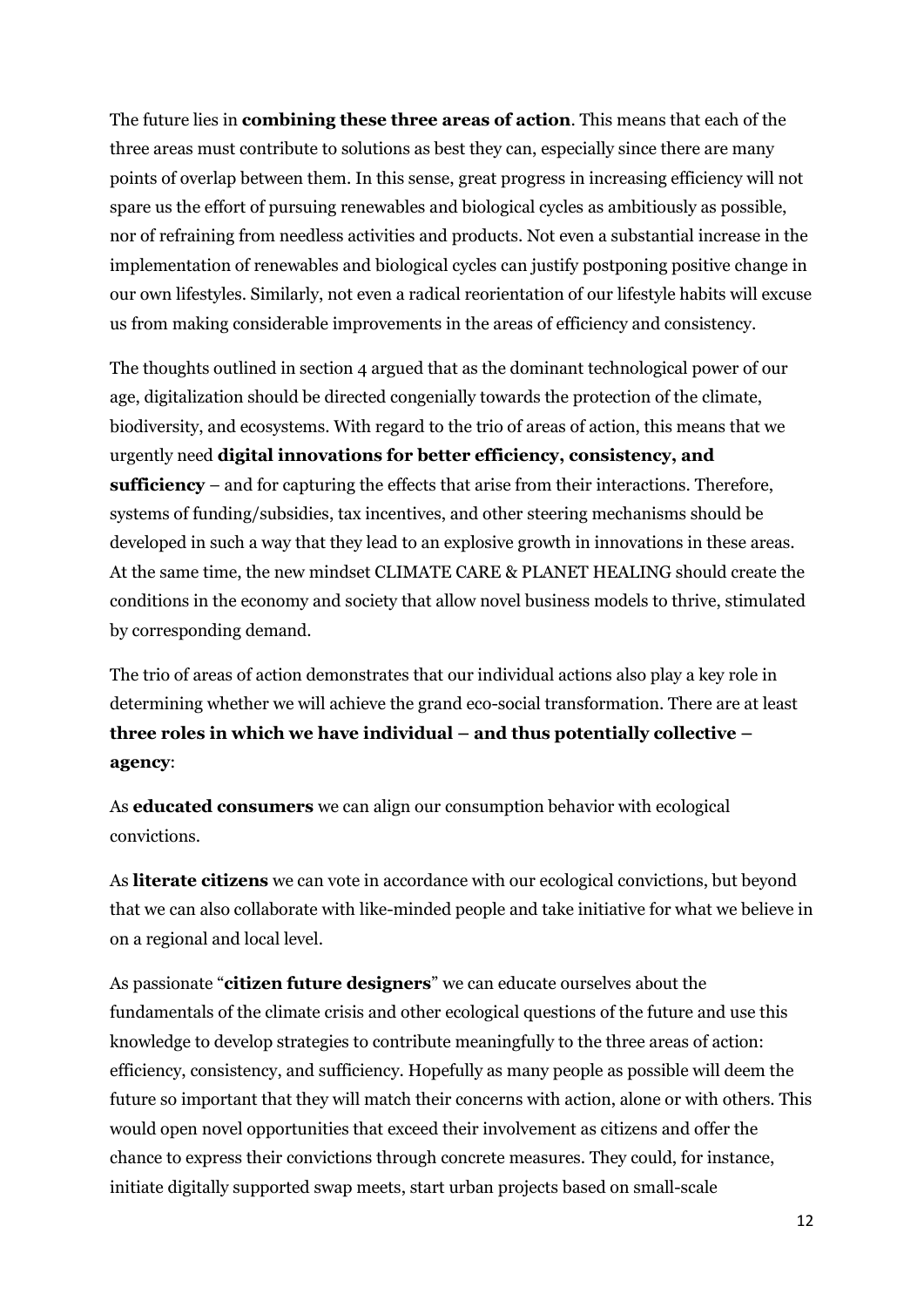The future lies in **combining these three areas of action**. This means that each of the three areas must contribute to solutions as best they can, especially since there are many points of overlap between them. In this sense, great progress in increasing efficiency will not spare us the effort of pursuing renewables and biological cycles as ambitiously as possible, nor of refraining from needless activities and products. Not even a substantial increase in the implementation of renewables and biological cycles can justify postponing positive change in our own lifestyles. Similarly, not even a radical reorientation of our lifestyle habits will excuse us from making considerable improvements in the areas of efficiency and consistency.

The thoughts outlined in section 4 argued that as the dominant technological power of our age, digitalization should be directed congenially towards the protection of the climate, biodiversity, and ecosystems. With regard to the trio of areas of action, this means that we urgently need **digital innovations for better efficiency, consistency, and sufficiency** – and for capturing the effects that arise from their interactions. Therefore, systems of funding/subsidies, tax incentives, and other steering mechanisms should be developed in such a way that they lead to an explosive growth in innovations in these areas. At the same time, the new mindset CLIMATE CARE & PLANET HEALING should create the conditions in the economy and society that allow novel business models to thrive, stimulated by corresponding demand.

The trio of areas of action demonstrates that our individual actions also play a key role in determining whether we will achieve the grand eco-social transformation. There are at least **three roles in which we have individual – and thus potentially collective – agency**:

As **educated consumers** we can align our consumption behavior with ecological convictions.

As **literate citizens** we can vote in accordance with our ecological convictions, but beyond that we can also collaborate with like-minded people and take initiative for what we believe in on a regional and local level.

As passionate "**citizen future designers**" we can educate ourselves about the fundamentals of the climate crisis and other ecological questions of the future and use this knowledge to develop strategies to contribute meaningfully to the three areas of action: efficiency, consistency, and sufficiency. Hopefully as many people as possible will deem the future so important that they will match their concerns with action, alone or with others. This would open novel opportunities that exceed their involvement as citizens and offer the chance to express their convictions through concrete measures. They could, for instance, initiate digitally supported swap meets, start urban projects based on small-scale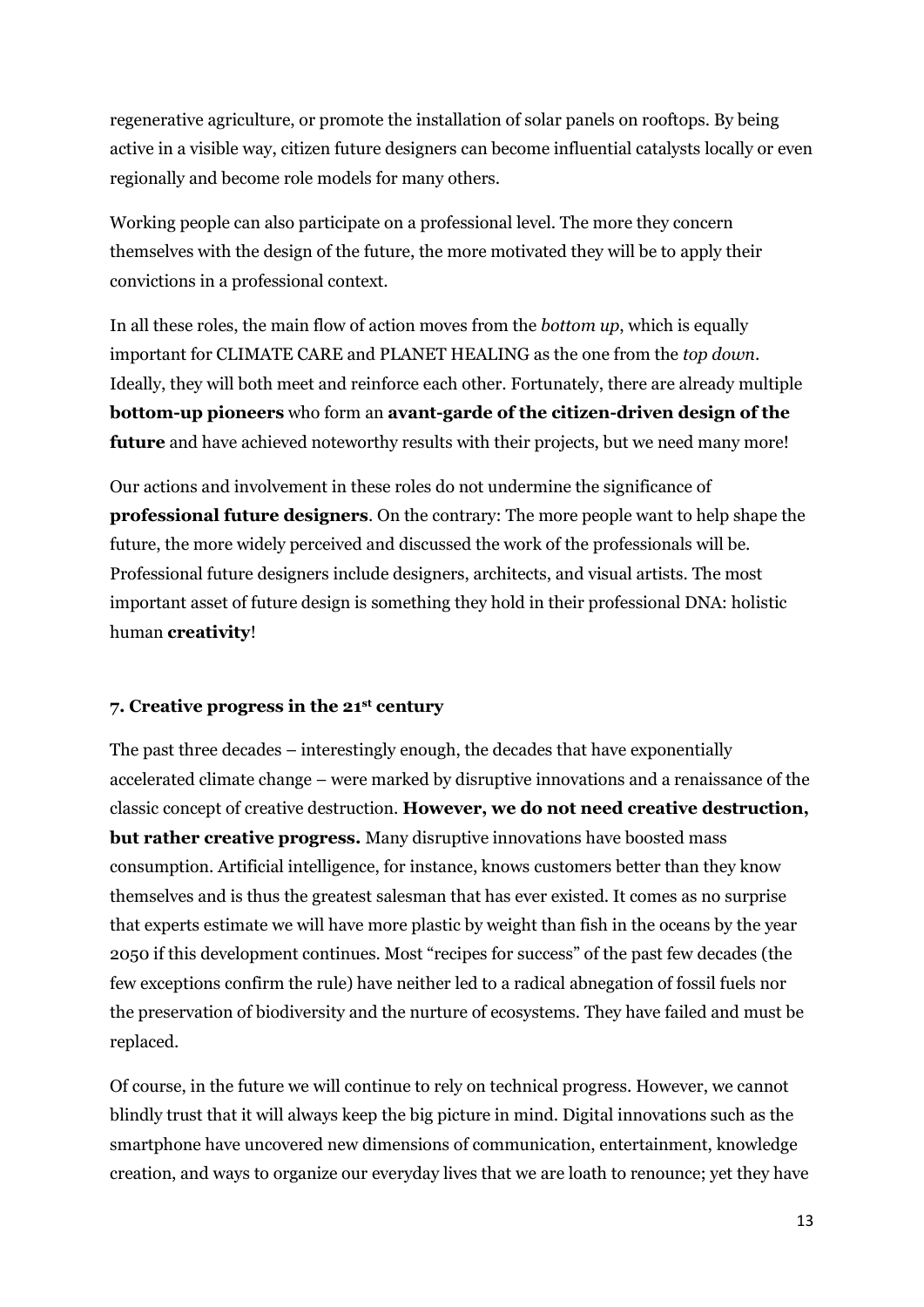regenerative agriculture, or promote the installation of solar panels on rooftops. By being active in a visible way, citizen future designers can become influential catalysts locally or even regionally and become role models for many others.

Working people can also participate on a professional level. The more they concern themselves with the design of the future, the more motivated they will be to apply their convictions in a professional context.

In all these roles, the main flow of action moves from the *bottom up*, which is equally important for CLIMATE CARE and PLANET HEALING as the one from the *top down*. Ideally, they will both meet and reinforce each other. Fortunately, there are already multiple **bottom-up pioneers** who form an **avant-garde of the citizen-driven design of the future** and have achieved noteworthy results with their projects, but we need many more!

Our actions and involvement in these roles do not undermine the significance of **professional future designers**. On the contrary: The more people want to help shape the future, the more widely perceived and discussed the work of the professionals will be. Professional future designers include designers, architects, and visual artists. The most important asset of future design is something they hold in their professional DNA: holistic human **creativity**!

### **7. Creative progress in the 21st century**

The past three decades – interestingly enough, the decades that have exponentially accelerated climate change – were marked by disruptive innovations and a renaissance of the classic concept of creative destruction. **However, we do not need creative destruction, but rather creative progress.** Many disruptive innovations have boosted mass consumption. Artificial intelligence, for instance, knows customers better than they know themselves and is thus the greatest salesman that has ever existed. It comes as no surprise that experts estimate we will have more plastic by weight than fish in the oceans by the year 2050 if this development continues. Most "recipes for success" of the past few decades (the few exceptions confirm the rule) have neither led to a radical abnegation of fossil fuels nor the preservation of biodiversity and the nurture of ecosystems. They have failed and must be replaced.

Of course, in the future we will continue to rely on technical progress. However, we cannot blindly trust that it will always keep the big picture in mind. Digital innovations such as the smartphone have uncovered new dimensions of communication, entertainment, knowledge creation, and ways to organize our everyday lives that we are loath to renounce; yet they have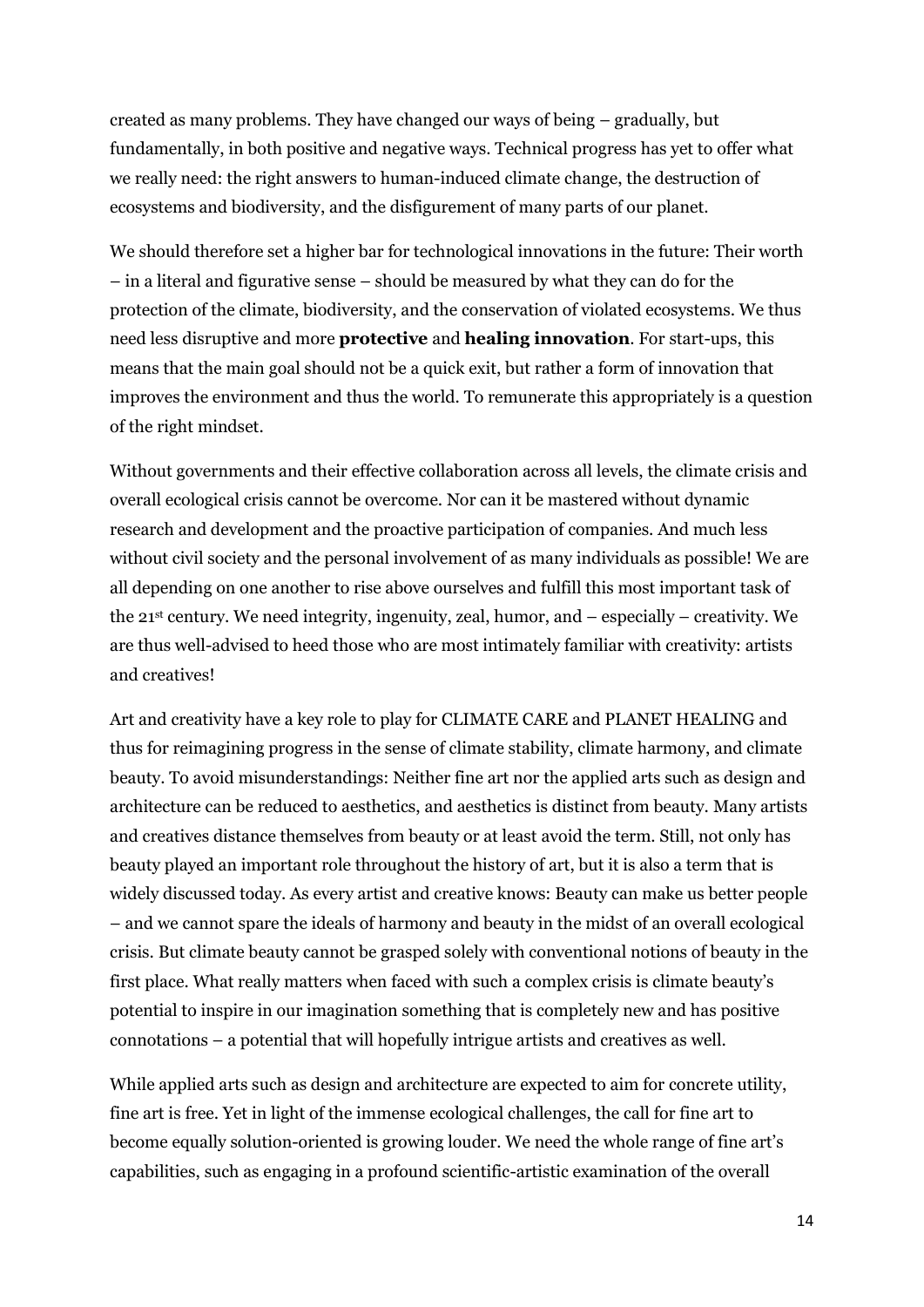created as many problems. They have changed our ways of being – gradually, but fundamentally, in both positive and negative ways. Technical progress has yet to offer what we really need: the right answers to human-induced climate change, the destruction of ecosystems and biodiversity, and the disfigurement of many parts of our planet.

We should therefore set a higher bar for technological innovations in the future: Their worth – in a literal and figurative sense – should be measured by what they can do for the protection of the climate, biodiversity, and the conservation of violated ecosystems. We thus need less disruptive and more **protective** and **healing innovation**. For start-ups, this means that the main goal should not be a quick exit, but rather a form of innovation that improves the environment and thus the world. To remunerate this appropriately is a question of the right mindset.

Without governments and their effective collaboration across all levels, the climate crisis and overall ecological crisis cannot be overcome. Nor can it be mastered without dynamic research and development and the proactive participation of companies. And much less without civil society and the personal involvement of as many individuals as possible! We are all depending on one another to rise above ourselves and fulfill this most important task of the  $21^{st}$  century. We need integrity, ingenuity, zeal, humor, and  $-$  especially  $-$  creativity. We are thus well-advised to heed those who are most intimately familiar with creativity: artists and creatives!

Art and creativity have a key role to play for CLIMATE CARE and PLANET HEALING and thus for reimagining progress in the sense of climate stability, climate harmony, and climate beauty. To avoid misunderstandings: Neither fine art nor the applied arts such as design and architecture can be reduced to aesthetics, and aesthetics is distinct from beauty. Many artists and creatives distance themselves from beauty or at least avoid the term. Still, not only has beauty played an important role throughout the history of art, but it is also a term that is widely discussed today. As every artist and creative knows: Beauty can make us better people – and we cannot spare the ideals of harmony and beauty in the midst of an overall ecological crisis. But climate beauty cannot be grasped solely with conventional notions of beauty in the first place. What really matters when faced with such a complex crisis is climate beauty's potential to inspire in our imagination something that is completely new and has positive connotations – a potential that will hopefully intrigue artists and creatives as well.

While applied arts such as design and architecture are expected to aim for concrete utility, fine art is free. Yet in light of the immense ecological challenges, the call for fine art to become equally solution-oriented is growing louder. We need the whole range of fine art's capabilities, such as engaging in a profound scientific-artistic examination of the overall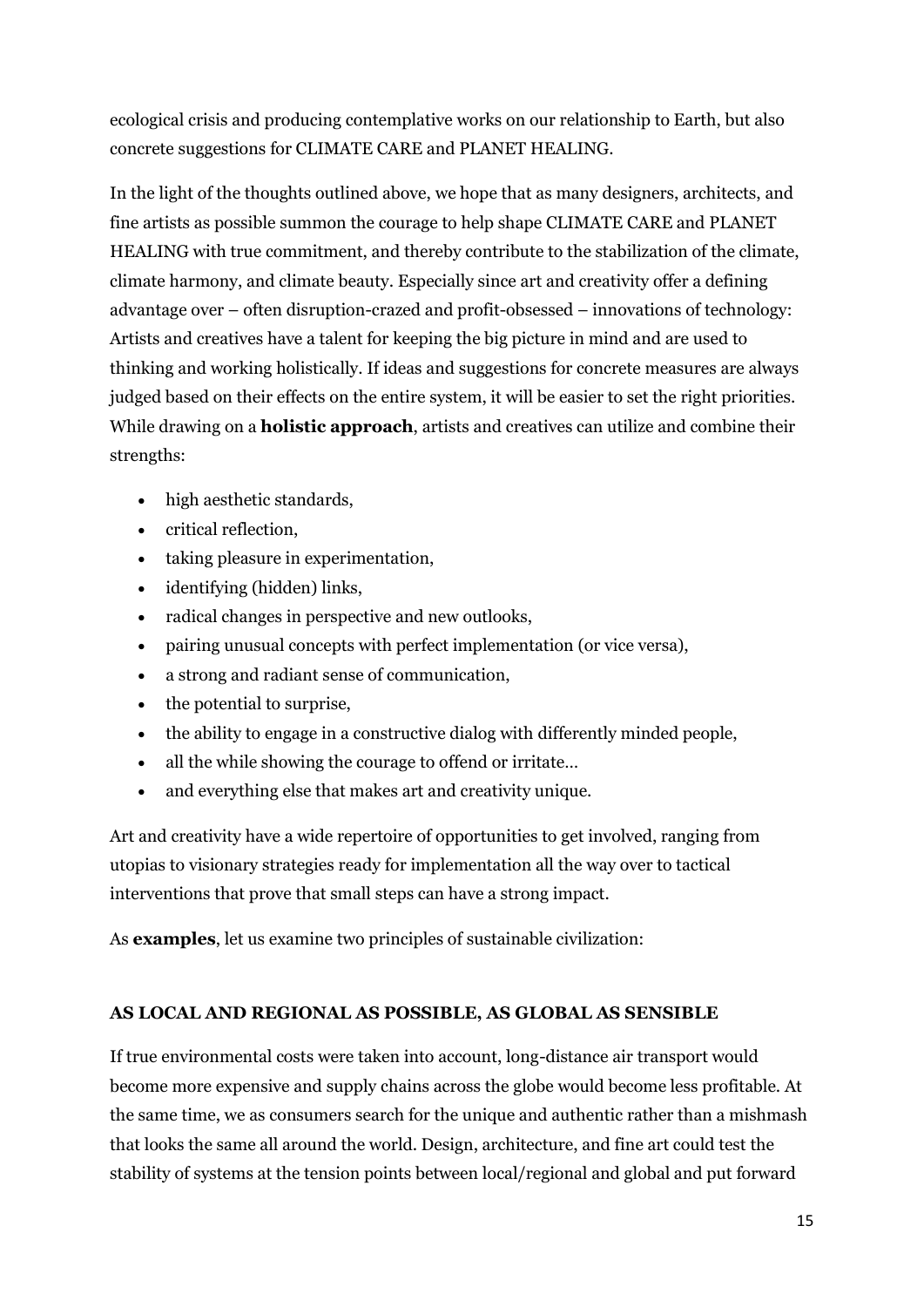ecological crisis and producing contemplative works on our relationship to Earth, but also concrete suggestions for CLIMATE CARE and PLANET HEALING.

In the light of the thoughts outlined above, we hope that as many designers, architects, and fine artists as possible summon the courage to help shape CLIMATE CARE and PLANET HEALING with true commitment, and thereby contribute to the stabilization of the climate, climate harmony, and climate beauty. Especially since art and creativity offer a defining advantage over – often disruption-crazed and profit-obsessed – innovations of technology: Artists and creatives have a talent for keeping the big picture in mind and are used to thinking and working holistically. If ideas and suggestions for concrete measures are always judged based on their effects on the entire system, it will be easier to set the right priorities. While drawing on a **holistic approach**, artists and creatives can utilize and combine their strengths:

- high aesthetic standards,
- critical reflection,
- taking pleasure in experimentation,
- identifying (hidden) links,
- radical changes in perspective and new outlooks,
- pairing unusual concepts with perfect implementation (or vice versa),
- a strong and radiant sense of communication,
- the potential to surprise,
- the ability to engage in a constructive dialog with differently minded people,
- all the while showing the courage to offend or irritate…
- and everything else that makes art and creativity unique.

Art and creativity have a wide repertoire of opportunities to get involved, ranging from utopias to visionary strategies ready for implementation all the way over to tactical interventions that prove that small steps can have a strong impact.

As **examples**, let us examine two principles of sustainable civilization:

# **AS LOCAL AND REGIONAL AS POSSIBLE, AS GLOBAL AS SENSIBLE**

If true environmental costs were taken into account, long-distance air transport would become more expensive and supply chains across the globe would become less profitable. At the same time, we as consumers search for the unique and authentic rather than a mishmash that looks the same all around the world. Design, architecture, and fine art could test the stability of systems at the tension points between local/regional and global and put forward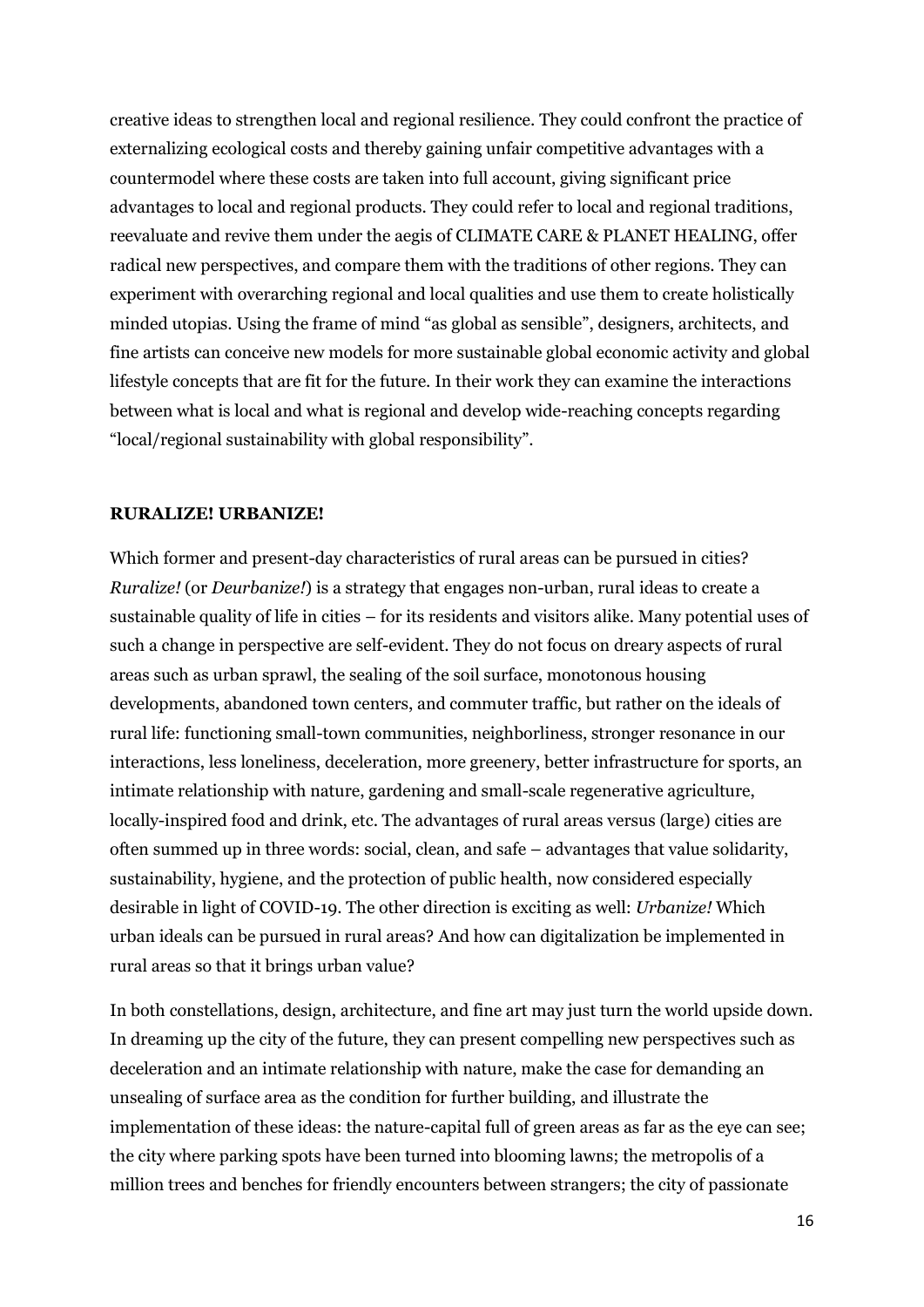creative ideas to strengthen local and regional resilience. They could confront the practice of externalizing ecological costs and thereby gaining unfair competitive advantages with a countermodel where these costs are taken into full account, giving significant price advantages to local and regional products. They could refer to local and regional traditions, reevaluate and revive them under the aegis of CLIMATE CARE & PLANET HEALING, offer radical new perspectives, and compare them with the traditions of other regions. They can experiment with overarching regional and local qualities and use them to create holistically minded utopias. Using the frame of mind "as global as sensible", designers, architects, and fine artists can conceive new models for more sustainable global economic activity and global lifestyle concepts that are fit for the future. In their work they can examine the interactions between what is local and what is regional and develop wide-reaching concepts regarding "local/regional sustainability with global responsibility".

#### **RURALIZE! URBANIZE!**

Which former and present-day characteristics of rural areas can be pursued in cities? *Ruralize!* (or *Deurbanize!*) is a strategy that engages non-urban, rural ideas to create a sustainable quality of life in cities – for its residents and visitors alike. Many potential uses of such a change in perspective are self-evident. They do not focus on dreary aspects of rural areas such as urban sprawl, the sealing of the soil surface, monotonous housing developments, abandoned town centers, and commuter traffic, but rather on the ideals of rural life: functioning small-town communities, neighborliness, stronger resonance in our interactions, less loneliness, deceleration, more greenery, better infrastructure for sports, an intimate relationship with nature, gardening and small-scale regenerative agriculture, locally-inspired food and drink, etc. The advantages of rural areas versus (large) cities are often summed up in three words: social, clean, and safe – advantages that value solidarity, sustainability, hygiene, and the protection of public health, now considered especially desirable in light of COVID-19. The other direction is exciting as well: *Urbanize!* Which urban ideals can be pursued in rural areas? And how can digitalization be implemented in rural areas so that it brings urban value?

In both constellations, design, architecture, and fine art may just turn the world upside down. In dreaming up the city of the future, they can present compelling new perspectives such as deceleration and an intimate relationship with nature, make the case for demanding an unsealing of surface area as the condition for further building, and illustrate the implementation of these ideas: the nature-capital full of green areas as far as the eye can see; the city where parking spots have been turned into blooming lawns; the metropolis of a million trees and benches for friendly encounters between strangers; the city of passionate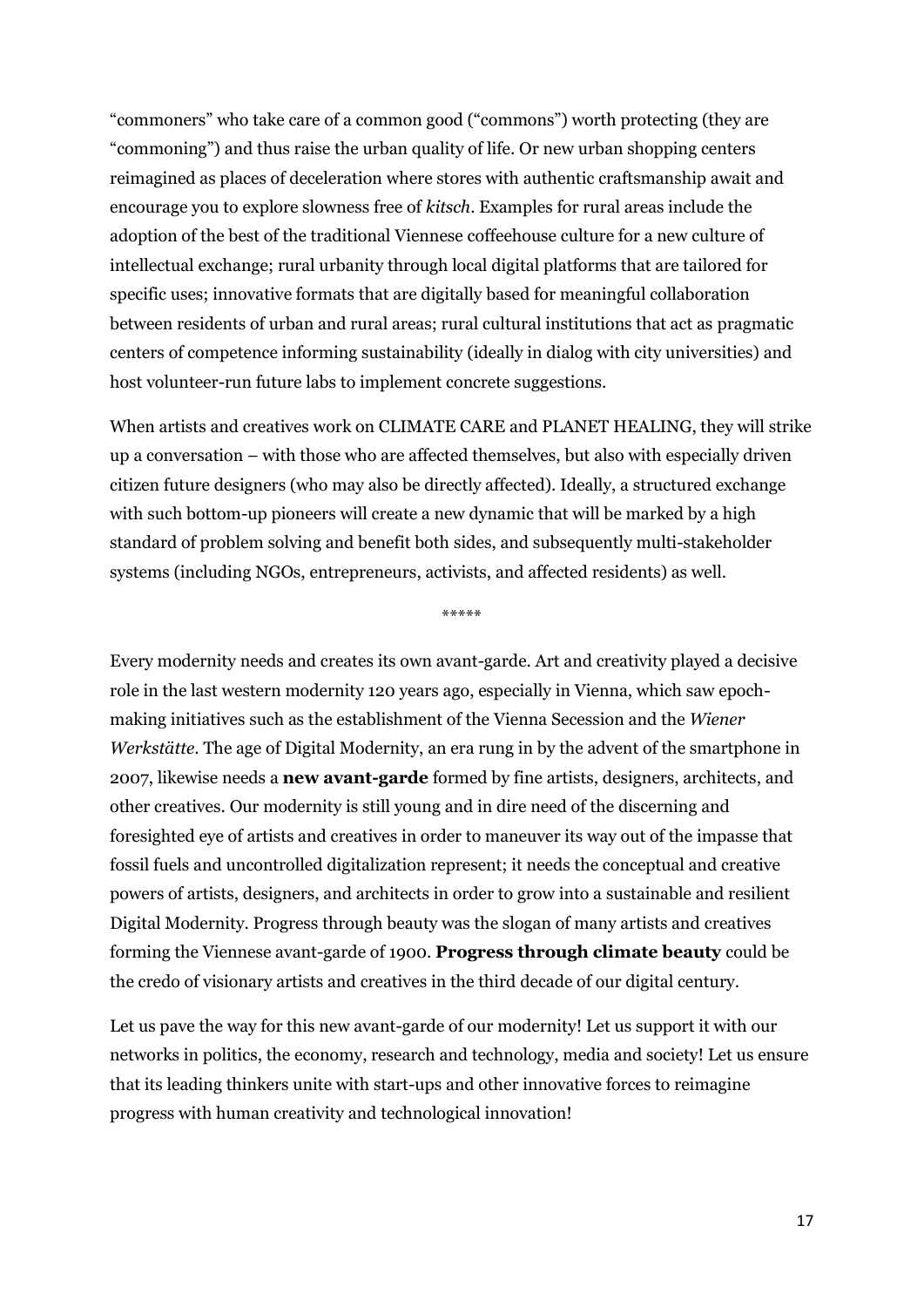"commoners" who take care of a common good ("commons") worth protecting (they are "commoning") and thus raise the urban quality of life. Or new urban shopping centers reimagined as places of deceleration where stores with authentic craftsmanship await and encourage you to explore slowness free of *kitsch*. Examples for rural areas include the adoption of the best of the traditional Viennese coffeehouse culture for a new culture of intellectual exchange; rural urbanity through local digital platforms that are tailored for specific uses; innovative formats that are digitally based for meaningful collaboration between residents of urban and rural areas; rural cultural institutions that act as pragmatic centers of competence informing sustainability (ideally in dialog with city universities) and host volunteer-run future labs to implement concrete suggestions.

When artists and creatives work on CLIMATE CARE and PLANET HEALING, they will strike up a conversation – with those who are affected themselves, but also with especially driven citizen future designers (who may also be directly affected). Ideally, a structured exchange with such bottom-up pioneers will create a new dynamic that will be marked by a high standard of problem solving and benefit both sides, and subsequently multi-stakeholder systems (including NGOs, entrepreneurs, activists, and affected residents) as well.

\*\*\*\*\*

Every modernity needs and creates its own avant-garde. Art and creativity played a decisive role in the last western modernity 120 years ago, especially in Vienna, which saw epochmaking initiatives such as the establishment of the Vienna Secession and the *Wiener Werkstätte*. The age of Digital Modernity, an era rung in by the advent of the smartphone in 2007, likewise needs a **new avant-garde** formed by fine artists, designers, architects, and other creatives. Our modernity is still young and in dire need of the discerning and foresighted eye of artists and creatives in order to maneuver its way out of the impasse that fossil fuels and uncontrolled digitalization represent; it needs the conceptual and creative powers of artists, designers, and architects in order to grow into a sustainable and resilient Digital Modernity. Progress through beauty was the slogan of many artists and creatives forming the Viennese avant-garde of 1900. **Progress through climate beauty** could be the credo of visionary artists and creatives in the third decade of our digital century.

Let us pave the way for this new avant-garde of our modernity! Let us support it with our networks in politics, the economy, research and technology, media and society! Let us ensure that its leading thinkers unite with start-ups and other innovative forces to reimagine progress with human creativity and technological innovation!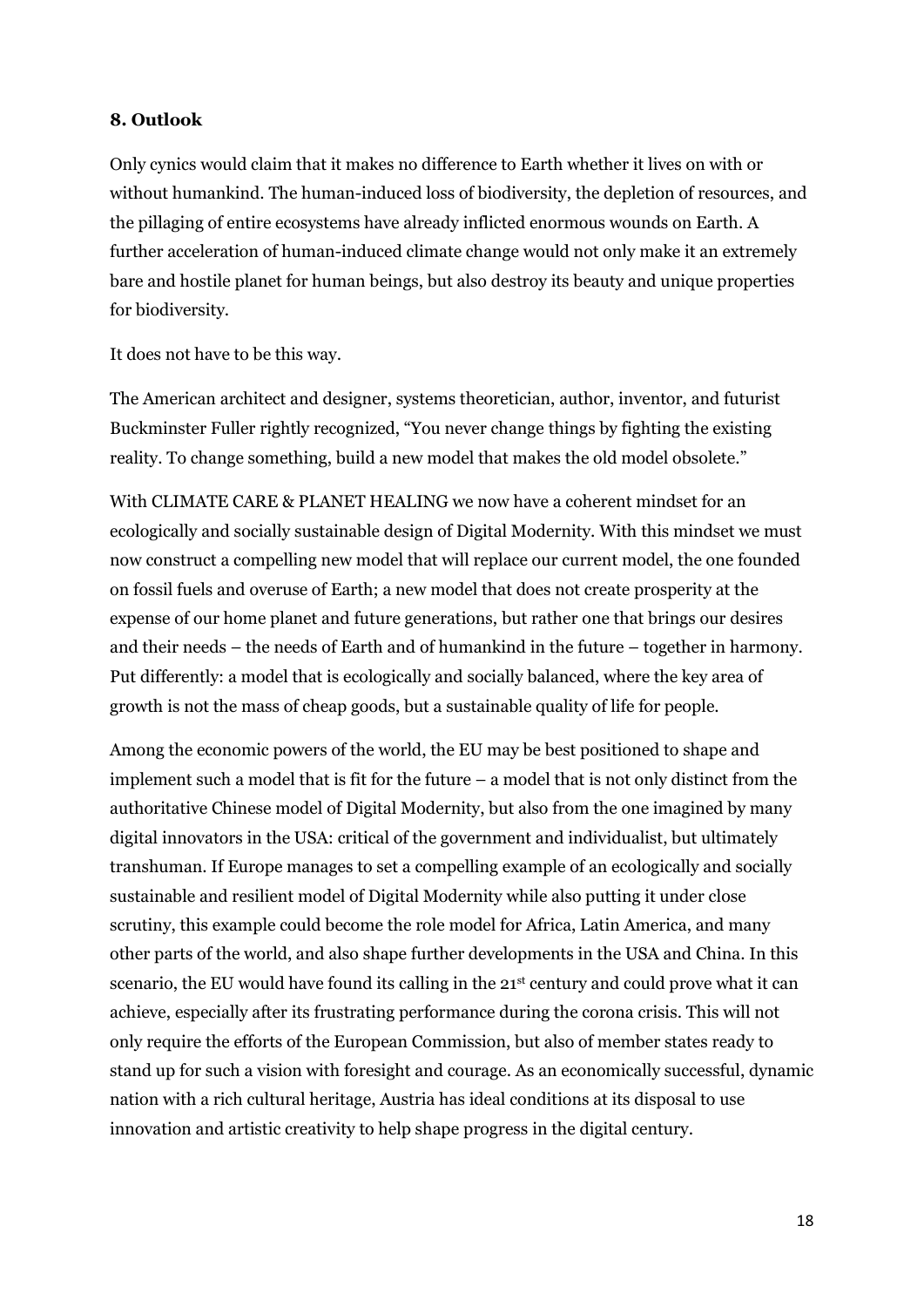### **8. Outlook**

Only cynics would claim that it makes no difference to Earth whether it lives on with or without humankind. The human-induced loss of biodiversity, the depletion of resources, and the pillaging of entire ecosystems have already inflicted enormous wounds on Earth. A further acceleration of human-induced climate change would not only make it an extremely bare and hostile planet for human beings, but also destroy its beauty and unique properties for biodiversity.

It does not have to be this way.

The American architect and designer, systems theoretician, author, inventor, and futurist Buckminster Fuller rightly recognized, "You never change things by fighting the existing reality. To change something, build a new model that makes the old model obsolete."

With CLIMATE CARE & PLANET HEALING we now have a coherent mindset for an ecologically and socially sustainable design of Digital Modernity. With this mindset we must now construct a compelling new model that will replace our current model, the one founded on fossil fuels and overuse of Earth; a new model that does not create prosperity at the expense of our home planet and future generations, but rather one that brings our desires and their needs – the needs of Earth and of humankind in the future – together in harmony. Put differently: a model that is ecologically and socially balanced, where the key area of growth is not the mass of cheap goods, but a sustainable quality of life for people.

Among the economic powers of the world, the EU may be best positioned to shape and implement such a model that is fit for the future – a model that is not only distinct from the authoritative Chinese model of Digital Modernity, but also from the one imagined by many digital innovators in the USA: critical of the government and individualist, but ultimately transhuman. If Europe manages to set a compelling example of an ecologically and socially sustainable and resilient model of Digital Modernity while also putting it under close scrutiny, this example could become the role model for Africa, Latin America, and many other parts of the world, and also shape further developments in the USA and China. In this scenario, the EU would have found its calling in the 21<sup>st</sup> century and could prove what it can achieve, especially after its frustrating performance during the corona crisis. This will not only require the efforts of the European Commission, but also of member states ready to stand up for such a vision with foresight and courage. As an economically successful, dynamic nation with a rich cultural heritage, Austria has ideal conditions at its disposal to use innovation and artistic creativity to help shape progress in the digital century.